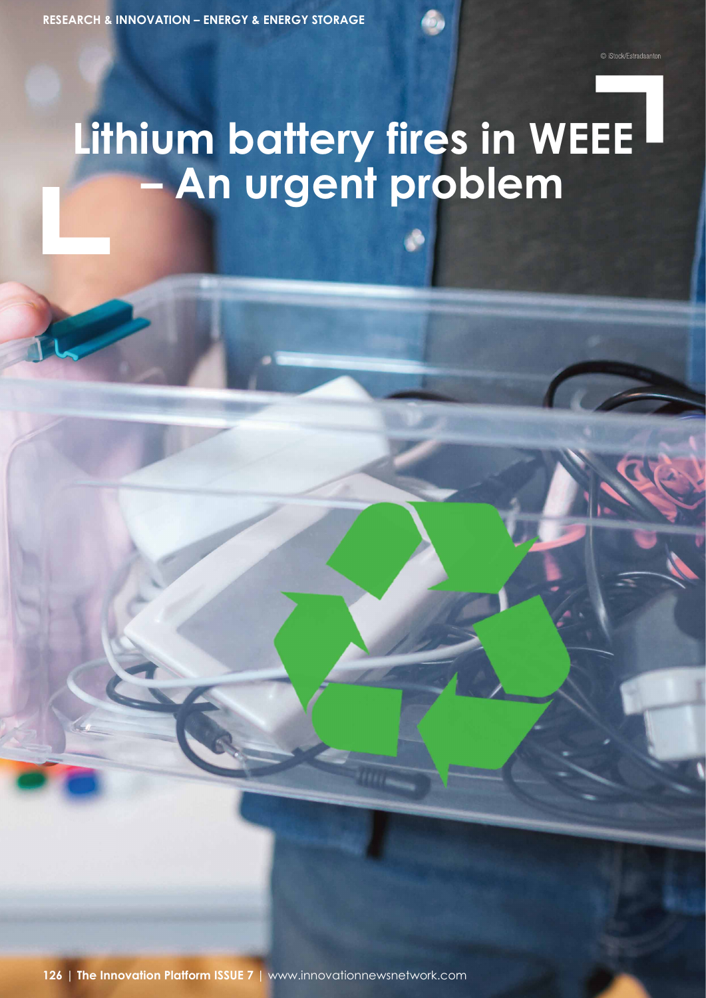# **Lithing School Lithing School School School School School School School School School School School School – An urgent problem**

**126** <sup>|</sup>**The Innovation Platform ISSUE 7** | www.innovationnewsnetwork.com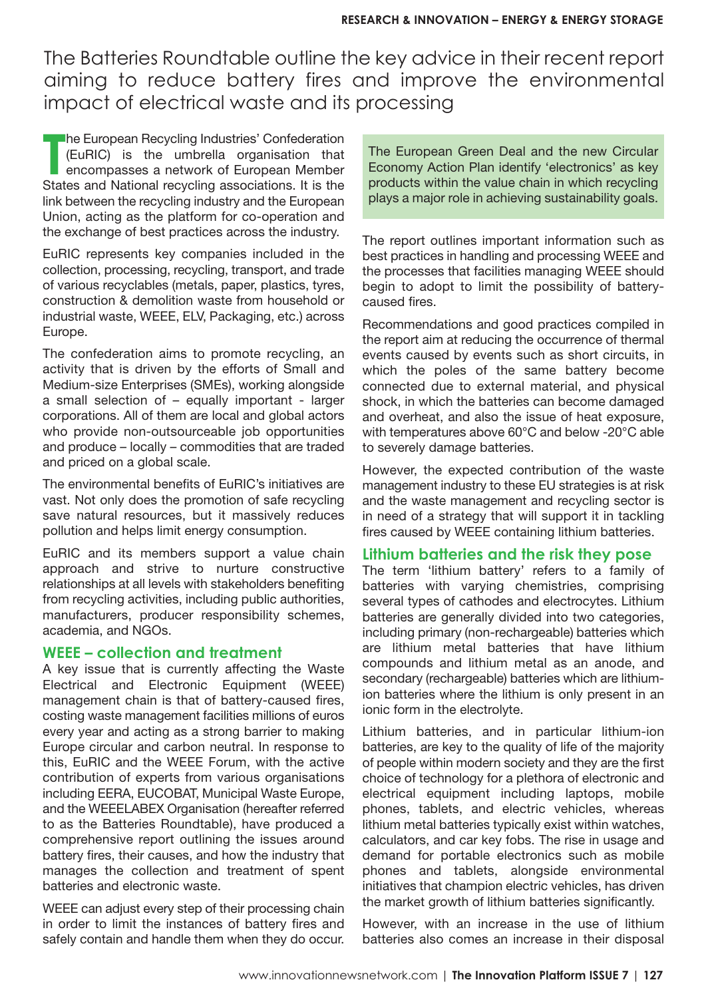The Batteries Roundtable outline the key advice in their recent report aiming to reduce battery fires and improve the environmental impact of electrical waste and its processing

**T The European Recycling Industries' Confederation** (EuRIC) is the umbrella organisation that encompasses a network of European Member States and National recycling associations. It is the link between the recycling industry and the European Union, acting as the platform for co-operation and the exchange of best practices across the industry.

EuRIC represents key companies included in the collection, processing, recycling, transport, and trade of various recyclables (metals, paper, plastics, tyres, construction & demolition waste from household or industrial waste, WEEE, ELV, Packaging, etc.) across Europe.

The confederation aims to promote recycling, an activity that is driven by the efforts of Small and Medium-size Enterprises (SMEs), working alongside a small selection of – equally important - larger corporations. All of them are local and global actors who provide non-outsourceable job opportunities and produce – locally – commodities that are traded and priced on a global scale.

The environmental benefits of EuRIC's initiatives are vast. Not only does the promotion of safe recycling save natural resources, but it massively reduces pollution and helps limit energy consumption.

EuRIC and its members support a value chain approach and strive to nurture constructive relationships at all levels with stakeholders benefiting from recycling activities, including public authorities, manufacturers, producer responsibility schemes, academia, and NGOs.

## **WEEE – collection and treatment**

A key issue that is currently affecting the Waste Electrical and Electronic Equipment (WEEE) management chain is that of battery-caused fires, costing waste management facilities millions of euros every year and acting as a strong barrier to making Europe circular and carbon neutral. In response to this, EuRIC and the WEEE Forum, with the active contribution of experts from various organisations including EERA, EUCOBAT, Municipal Waste Europe, and the WEEELABEX Organisation (hereafter referred to as the Batteries Roundtable), have produced a comprehensive report outlining the issues around battery fires, their causes, and how the industry that manages the collection and treatment of spent batteries and electronic waste.

WEEE can adjust every step of their processing chain in order to limit the instances of battery fires and safely contain and handle them when they do occur. The European Green Deal and the new Circular Economy Action Plan identify 'electronics' as key products within the value chain in which recycling plays a major role in achieving sustainability goals.

The report outlines important information such as best practices in handling and processing WEEE and the processes that facilities managing WEEE should begin to adopt to limit the possibility of batterycaused fires.

Recommendations and good practices compiled in the report aim at reducing the occurrence of thermal events caused by events such as short circuits, in which the poles of the same battery become connected due to external material, and physical shock, in which the batteries can become damaged and overheat, and also the issue of heat exposure, with temperatures above 60°C and below -20°C able to severely damage batteries.

However, the expected contribution of the waste management industry to these EU strategies is at risk and the waste management and recycling sector is in need of a strategy that will support it in tackling fires caused by WEEE containing lithium batteries.

### **Lithium batteries and the risk they pose**

The term 'lithium battery' refers to a family of batteries with varying chemistries, comprising several types of cathodes and electrocytes. Lithium batteries are generally divided into two categories, including primary (non-rechargeable) batteries which are lithium metal batteries that have lithium compounds and lithium metal as an anode, and secondary (rechargeable) batteries which are lithiumion batteries where the lithium is only present in an ionic form in the electrolyte.

Lithium batteries, and in particular lithium-ion batteries, are key to the quality of life of the majority of people within modern society and they are the first choice of technology for a plethora of electronic and electrical equipment including laptops, mobile phones, tablets, and electric vehicles, whereas lithium metal batteries typically exist within watches, calculators, and car key fobs. The rise in usage and demand for portable electronics such as mobile phones and tablets, alongside environmental initiatives that champion electric vehicles, has driven the market growth of lithium batteries significantly.

However, with an increase in the use of lithium batteries also comes an increase in their disposal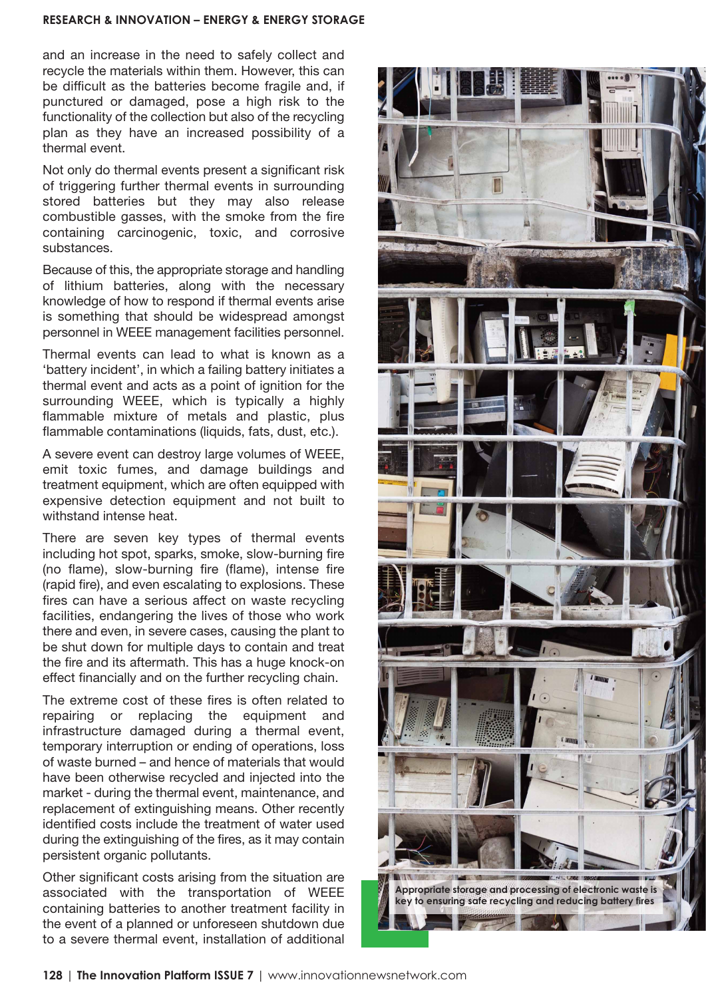#### **RESEARCH & INNOVATION – ENERGY & ENERGY STORAGE**

and an increase in the need to safely collect and recycle the materials within them. However, this can be difficult as the batteries become fragile and, if punctured or damaged, pose a high risk to the functionality of the collection but also of the recycling plan as they have an increased possibility of a thermal event.

Not only do thermal events present a significant risk of triggering further thermal events in surrounding stored batteries but they may also release combustible gasses, with the smoke from the fire containing carcinogenic, toxic, and corrosive substances.

Because of this, the appropriate storage and handling of lithium batteries, along with the necessary knowledge of how to respond if thermal events arise is something that should be widespread amongst personnel in WEEE management facilities personnel.

Thermal events can lead to what is known as a 'battery incident', in which a failing battery initiates a thermal event and acts as a point of ignition for the surrounding WEEE, which is typically a highly flammable mixture of metals and plastic, plus flammable contaminations (liquids, fats, dust, etc.).

A severe event can destroy large volumes of WEEE, emit toxic fumes, and damage buildings and treatment equipment, which are often equipped with expensive detection equipment and not built to withstand intense heat.

There are seven key types of thermal events including hot spot, sparks, smoke, slow-burning fire (no flame), slow-burning fire (flame), intense fire (rapid fire), and even escalating to explosions. These fires can have a serious affect on waste recycling facilities, endangering the lives of those who work there and even, in severe cases, causing the plant to be shut down for multiple days to contain and treat the fire and its aftermath. This has a huge knock-on effect financially and on the further recycling chain.

The extreme cost of these fires is often related to repairing or replacing the equipment and infrastructure damaged during a thermal event, temporary interruption or ending of operations, loss of waste burned – and hence of materials that would have been otherwise recycled and injected into the market - during the thermal event, maintenance, and replacement of extinguishing means. Other recently identified costs include the treatment of water used during the extinguishing of the fires, as it may contain persistent organic pollutants.

Other significant costs arising from the situation are associated with the transportation of WEEE containing batteries to another treatment facility in the event of a planned or unforeseen shutdown due to a severe thermal event, installation of additional

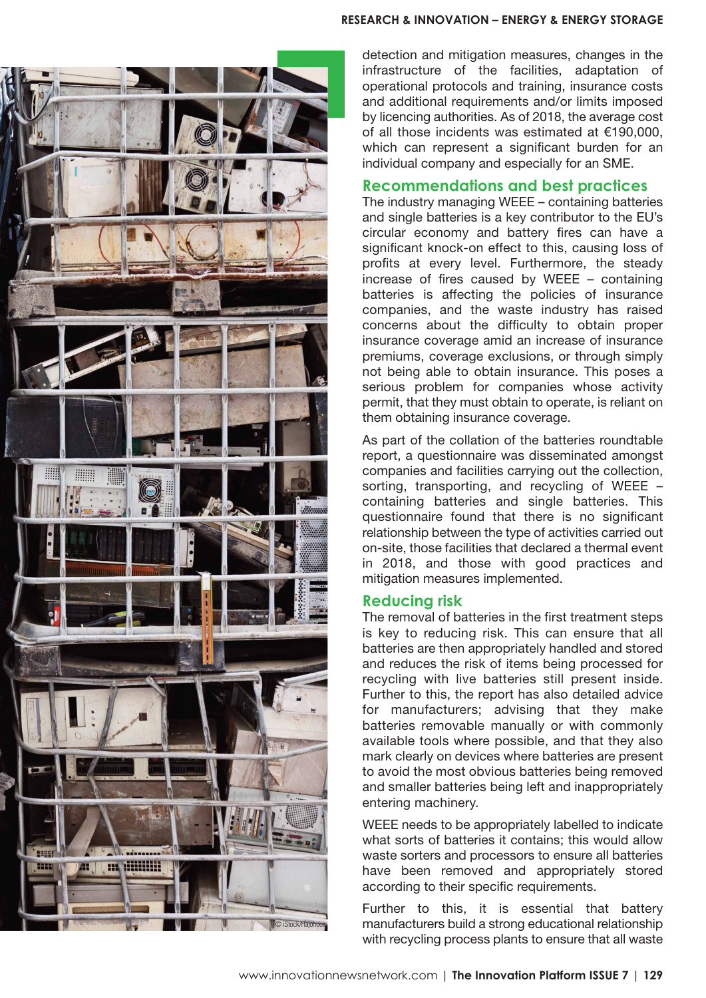

detection and mitigation measures, changes in the infrastructure of the facilities, adaptation of operational protocols and training, insurance costs and additional requirements and/or limits imposed by licencing authorities. As of 2018, the average cost of all those incidents was estimated at €190,000, which can represent a significant burden for an individual company and especially for an SME.

## **Recommendations and best practices**

The industry managing WEEE – containing batteries and single batteries is a key contributor to the EU's circular economy and battery fires can have a significant knock-on effect to this, causing loss of profits at every level. Furthermore, the steady increase of fires caused by WEEE – containing batteries is affecting the policies of insurance companies, and the waste industry has raised concerns about the difficulty to obtain proper insurance coverage amid an increase of insurance premiums, coverage exclusions, or through simply not being able to obtain insurance. This poses a serious problem for companies whose activity permit, that they must obtain to operate, is reliant on them obtaining insurance coverage.

As part of the collation of the batteries roundtable report, a questionnaire was disseminated amongst companies and facilities carrying out the collection, sorting, transporting, and recycling of WEEE – containing batteries and single batteries. This questionnaire found that there is no significant relationship between the type of activities carried out on-site, those facilities that declared a thermal event in 2018, and those with good practices and mitigation measures implemented.

## **Reducing risk**

The removal of batteries in the first treatment steps is key to reducing risk. This can ensure that all batteries are then appropriately handled and stored and reduces the risk of items being processed for recycling with live batteries still present inside. Further to this, the report has also detailed advice for manufacturers; advising that they make batteries removable manually or with commonly available tools where possible, and that they also mark clearly on devices where batteries are present to avoid the most obvious batteries being removed and smaller batteries being left and inappropriately entering machinery.

WEEE needs to be appropriately labelled to indicate what sorts of batteries it contains; this would allow waste sorters and processors to ensure all batteries have been removed and appropriately stored according to their specific requirements.

Further to this, it is essential that battery manufacturers build a strong educational relationship with recycling process plants to ensure that all waste